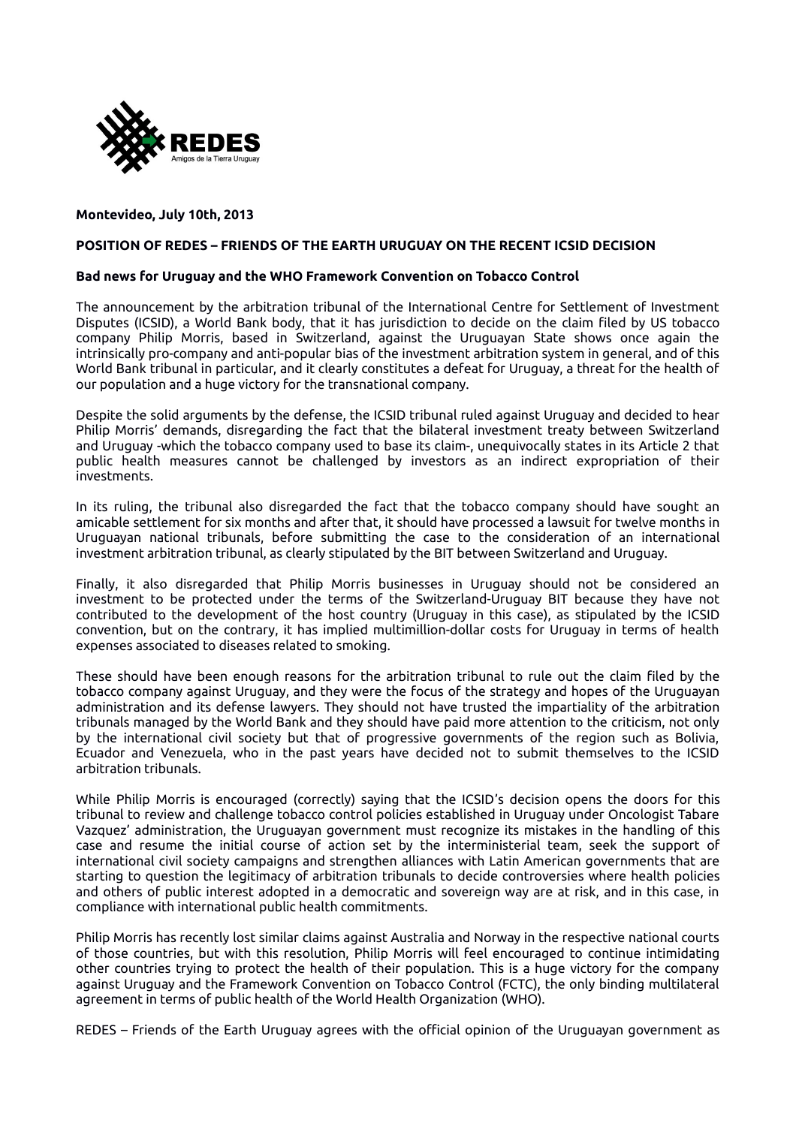

## **Montevideo, July 10th, 2013**

## **POSITION OF REDES – FRIENDS OF THE EARTH URUGUAY ON THE RECENT ICSID DECISION**

#### **Bad news for Uruguay and the WHO Framework Convention on Tobacco Control**

The announcement by the arbitration tribunal of the International Centre for Settlement of Investment Disputes (ICSID), a World Bank body, that it has jurisdiction to decide on the claim filed by US tobacco company Philip Morris, based in Switzerland, against the Uruguayan State shows once again the intrinsically pro-company and anti-popular bias of the investment arbitration system in general, and of this World Bank tribunal in particular, and it clearly constitutes a defeat for Uruguay, a threat for the health of our population and a huge victory for the transnational company.

Despite the solid arguments by the defense, the ICSID tribunal ruled against Uruguay and decided to hear Philip Morris' demands, disregarding the fact that the bilateral investment treaty between Switzerland and Uruguay -which the tobacco company used to base its claim-, unequivocally states in its Article 2 that public health measures cannot be challenged by investors as an indirect expropriation of their investments.

In its ruling, the tribunal also disregarded the fact that the tobacco company should have sought an amicable settlement for six months and after that, it should have processed a lawsuit for twelve months in Uruguayan national tribunals, before submitting the case to the consideration of an international investment arbitration tribunal, as clearly stipulated by the BIT between Switzerland and Uruguay.

Finally, it also disregarded that Philip Morris businesses in Uruguay should not be considered an investment to be protected under the terms of the Switzerland-Uruguay BIT because they have not contributed to the development of the host country (Uruguay in this case), as stipulated by the ICSID convention, but on the contrary, it has implied multimillion-dollar costs for Uruguay in terms of health expenses associated to diseases related to smoking.

These should have been enough reasons for the arbitration tribunal to rule out the claim filed by the tobacco company against Uruguay, and they were the focus of the strategy and hopes of the Uruguayan administration and its defense lawyers. They should not have trusted the impartiality of the arbitration tribunals managed by the World Bank and they should have paid more attention to the criticism, not only by the international civil society but that of progressive governments of the region such as Bolivia, Ecuador and Venezuela, who in the past years have decided not to submit themselves to the ICSID arbitration tribunals.

While Philip Morris is encouraged (correctly) saying that the ICSID's decision opens the doors for this tribunal to review and challenge tobacco control policies established in Uruguay under Oncologist Tabare Vazquez' administration, the Uruguayan government must recognize its mistakes in the handling of this case and resume the initial course of action set by the interministerial team, seek the support of international civil society campaigns and strengthen alliances with Latin American governments that are starting to question the legitimacy of arbitration tribunals to decide controversies where health policies and others of public interest adopted in a democratic and sovereign way are at risk, and in this case, in compliance with international public health commitments.

Philip Morris has recently lost similar claims against Australia and Norway in the respective national courts of those countries, but with this resolution, Philip Morris will feel encouraged to continue intimidating other countries trying to protect the health of their population. This is a huge victory for the company against Uruguay and the Framework Convention on Tobacco Control (FCTC), the only binding multilateral agreement in terms of public health of the World Health Organization (WHO).

REDES – Friends of the Earth Uruguay agrees with the official opinion of the Uruguayan government as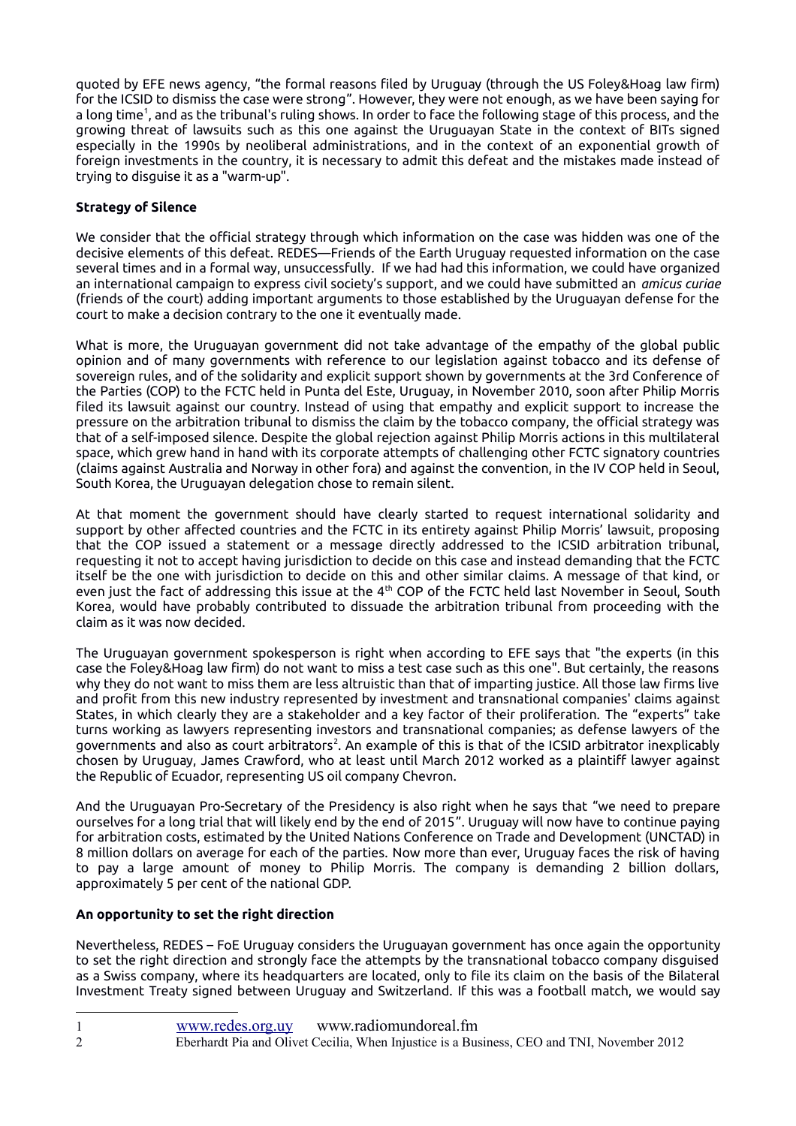quoted by EFE news agency, "the formal reasons filed by Uruguay (through the US Foley&Hoag law firm) for the ICSID to dismiss the case were strong". However, they were not enough, as we have been saying for a long time[1](#page-1-0) , and as the tribunal's ruling shows. In order to face the following stage of this process, and the growing threat of lawsuits such as this one against the Uruguayan State in the context of BITs signed especially in the 1990s by neoliberal administrations, and in the context of an exponential growth of foreign investments in the country, it is necessary to admit this defeat and the mistakes made instead of trying to disguise it as a "warm-up".

# **Strategy of Silence**

We consider that the official strategy through which information on the case was hidden was one of the decisive elements of this defeat. REDES—Friends of the Earth Uruguay requested information on the case several times and in a formal way, unsuccessfully. If we had had this information, we could have organized an international campaign to express civil society's support, and we could have submitted an *amicus curiae* (friends of the court) adding important arguments to those established by the Uruguayan defense for the court to make a decision contrary to the one it eventually made.

What is more, the Uruguayan government did not take advantage of the empathy of the global public opinion and of many governments with reference to our legislation against tobacco and its defense of sovereign rules, and of the solidarity and explicit support shown by governments at the 3rd Conference of the Parties (COP) to the FCTC held in Punta del Este, Uruguay, in November 2010, soon after Philip Morris filed its lawsuit against our country. Instead of using that empathy and explicit support to increase the pressure on the arbitration tribunal to dismiss the claim by the tobacco company, the official strategy was that of a self-imposed silence. Despite the global rejection against Philip Morris actions in this multilateral space, which grew hand in hand with its corporate attempts of challenging other FCTC signatory countries (claims against Australia and Norway in other fora) and against the convention, in the IV COP held in Seoul, South Korea, the Uruguayan delegation chose to remain silent.

At that moment the government should have clearly started to request international solidarity and support by other affected countries and the FCTC in its entirety against Philip Morris' lawsuit, proposing that the COP issued a statement or a message directly addressed to the ICSID arbitration tribunal, requesting it not to accept having jurisdiction to decide on this case and instead demanding that the FCTC itself be the one with jurisdiction to decide on this and other similar claims. A message of that kind, or even just the fact of addressing this issue at the 4<sup>th</sup> COP of the FCTC held last November in Seoul, South Korea, would have probably contributed to dissuade the arbitration tribunal from proceeding with the claim as it was now decided.

The Uruguayan government spokesperson is right when according to EFE says that "the experts (in this case the Foley&Hoag law firm) do not want to miss a test case such as this one". But certainly, the reasons why they do not want to miss them are less altruistic than that of imparting justice. All those law firms live and profit from this new industry represented by investment and transnational companies' claims against States, in which clearly they are a stakeholder and a key factor of their proliferation. The "experts" take turns working as lawyers representing investors and transnational companies; as defense lawyers of the governments and also as court arbitrators $^2$  $^2$ . An example of this is that of the ICSID arbitrator inexplicably chosen by Uruguay, James Crawford, who at least until March 2012 worked as a plaintiff lawyer against the Republic of Ecuador, representing US oil company Chevron.

And the Uruguayan Pro-Secretary of the Presidency is also right when he says that "we need to prepare ourselves for a long trial that will likely end by the end of 2015". Uruguay will now have to continue paying for arbitration costs, estimated by the United Nations Conference on Trade and Development (UNCTAD) in 8 million dollars on average for each of the parties. Now more than ever, Uruguay faces the risk of having to pay a large amount of money to Philip Morris. The company is demanding 2 billion dollars, approximately 5 per cent of the national GDP.

## **An opportunity to set the right direction**

Nevertheless, REDES – FoE Uruguay considers the Uruguayan government has once again the opportunity to set the right direction and strongly face the attempts by the transnational tobacco company disguised as a Swiss company, where its headquarters are located, only to file its claim on the basis of the Bilateral Investment Treaty signed between Uruguay and Switzerland. If this was a football match, we would say

<span id="page-1-0"></span><sup>1</sup> [www.redes.org.uy](http://www.redes.org.uy/) www.radiomundoreal.fm

<span id="page-1-1"></span><sup>2</sup> Eberhardt Pia and Olivet Cecilia, When Injustice is a Business, CEO and TNI, November 2012